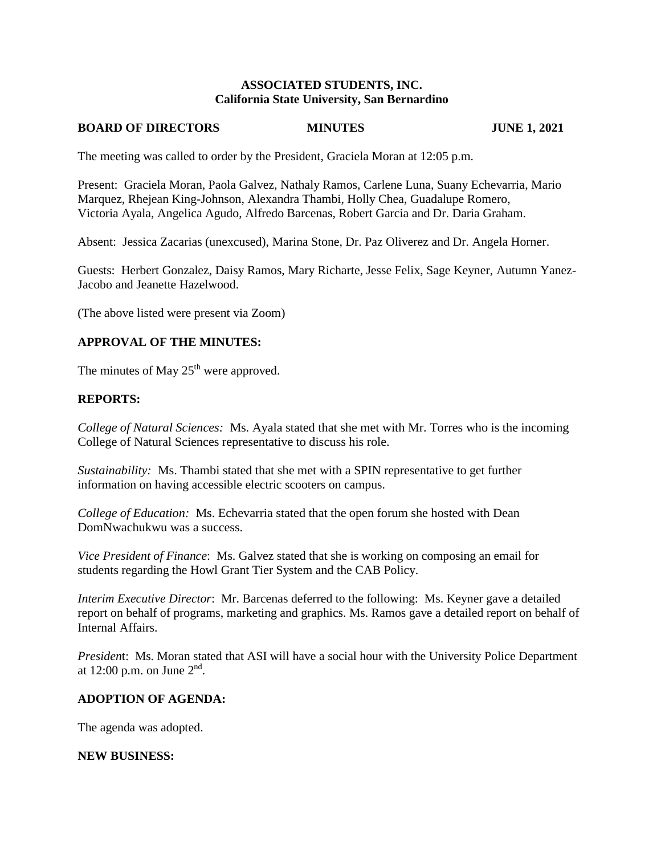## **ASSOCIATED STUDENTS, INC. California State University, San Bernardino**

### **BOARD OF DIRECTORS MINUTES JUNE 1, 2021**

The meeting was called to order by the President, Graciela Moran at 12:05 p.m.

Present: Graciela Moran, Paola Galvez, Nathaly Ramos, Carlene Luna, Suany Echevarria, Mario Marquez, Rhejean King-Johnson, Alexandra Thambi, Holly Chea, Guadalupe Romero, Victoria Ayala, Angelica Agudo, Alfredo Barcenas, Robert Garcia and Dr. Daria Graham.

Absent: Jessica Zacarias (unexcused), Marina Stone, Dr. Paz Oliverez and Dr. Angela Horner.

Guests: Herbert Gonzalez, Daisy Ramos, Mary Richarte, Jesse Felix, Sage Keyner, Autumn Yanez-Jacobo and Jeanette Hazelwood.

(The above listed were present via Zoom)

## **APPROVAL OF THE MINUTES:**

The minutes of May  $25<sup>th</sup>$  were approved.

## **REPORTS:**

*College of Natural Sciences:* Ms. Ayala stated that she met with Mr. Torres who is the incoming College of Natural Sciences representative to discuss his role.

*Sustainability:* Ms. Thambi stated that she met with a SPIN representative to get further information on having accessible electric scooters on campus.

*College of Education:* Ms. Echevarria stated that the open forum she hosted with Dean DomNwachukwu was a success.

*Vice President of Finance*: Ms. Galvez stated that she is working on composing an email for students regarding the Howl Grant Tier System and the CAB Policy.

*Interim Executive Director*: Mr. Barcenas deferred to the following: Ms. Keyner gave a detailed report on behalf of programs, marketing and graphics. Ms. Ramos gave a detailed report on behalf of Internal Affairs.

*Presiden*t: Ms. Moran stated that ASI will have a social hour with the University Police Department at 12:00 p.m. on June  $2<sup>nd</sup>$ .

## **ADOPTION OF AGENDA:**

The agenda was adopted.

#### **NEW BUSINESS:**